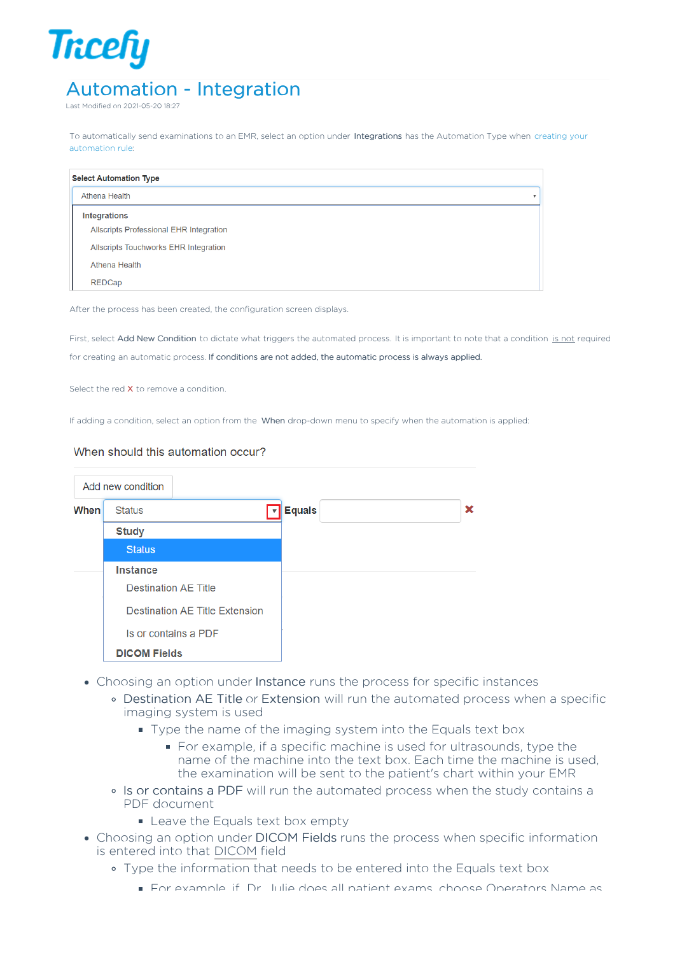## **Tricefy** Automation - Integration

Last Modified on 2021-05-20 18:27

To automatically send examinations to an EMR, select an option under Integrations has the Automation Type when creating your automation rule:

| <b>Select Automation Type</b>                  |                          |  |  |  |  |  |
|------------------------------------------------|--------------------------|--|--|--|--|--|
| Athena Health                                  | $\overline{\phantom{a}}$ |  |  |  |  |  |
| <b>Integrations</b>                            |                          |  |  |  |  |  |
| <b>Allscripts Professional EHR Integration</b> |                          |  |  |  |  |  |
| Allscripts Touchworks EHR Integration          |                          |  |  |  |  |  |
| Athena Health                                  |                          |  |  |  |  |  |
| <b>REDCap</b>                                  |                          |  |  |  |  |  |

After the process has been created, the configuration screen displays.

First, select Add New Condition to dictate what triggers the automated process. It is important to note that a condition is not required for creating an automatic process. If conditions are not added, the automatic process is always applied.

Select the red X to remove a condition.

If adding a condition, select an option from the When drop-down menu to specify when the automation is applied:

## When should this automation occur?

|             | Add new condition           |                                       |               |  |   |
|-------------|-----------------------------|---------------------------------------|---------------|--|---|
| <b>When</b> | <b>Status</b>               |                                       | <b>Equals</b> |  | × |
|             | <b>Study</b>                |                                       |               |  |   |
|             | <b>Status</b>               |                                       |               |  |   |
|             | <b>Instance</b>             |                                       |               |  |   |
|             | <b>Destination AE Title</b> |                                       |               |  |   |
|             |                             | <b>Destination AE Title Extension</b> |               |  |   |
|             |                             | Is or contains a PDF                  |               |  |   |
|             | <b>DICOM Fields</b>         |                                       |               |  |   |

- Choosing an option under Instance runs the process for specific instances
	- Destination AE Title or Extension will run the automated process when a specific imaging system is used
		- Type the name of the imaging system into the Equals text box
			- For example, if a specific machine is used for ultrasounds, type the name of the machine into the text box. Each time the machine is used, the examination will be sent to the patient's chart within your EMR
	- Is or contains a PDF will run the automated process when the study contains a PDF document
		- **Exercise** Leave the Equals text box empty
- Choosing an option under DICOM Fields runs the process when specific information is entered into that DICOM field
	- Type the information that needs to be entered into the Equals text box
		- For example, if Dr. Julie does all patient exams, choose Operators Name as